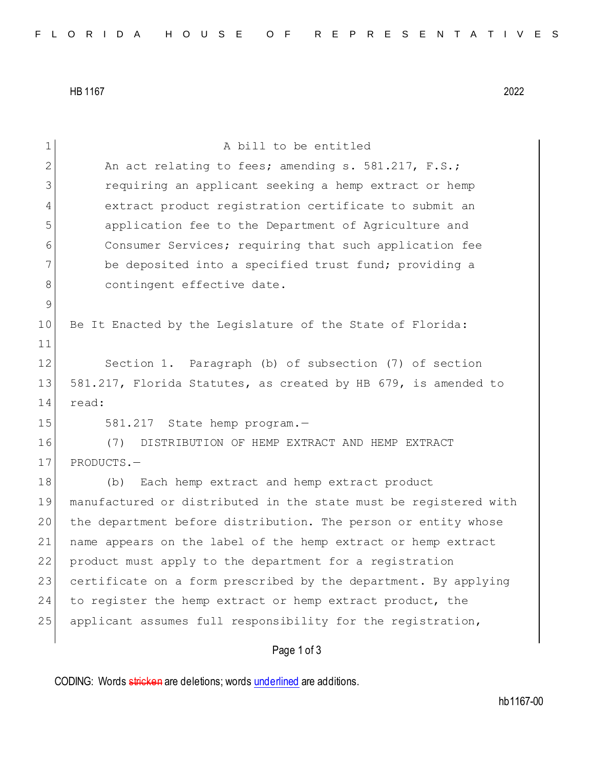HB 1167 2022

| 1           | A bill to be entitled                                            |
|-------------|------------------------------------------------------------------|
| 2           | An act relating to fees; amending s. 581.217, F.S.;              |
| 3           | requiring an applicant seeking a hemp extract or hemp            |
| 4           | extract product registration certificate to submit an            |
| 5           | application fee to the Department of Agriculture and             |
| 6           | Consumer Services; requiring that such application fee           |
| 7           | be deposited into a specified trust fund; providing a            |
| 8           | contingent effective date.                                       |
| $\mathsf 9$ |                                                                  |
| 10          | Be It Enacted by the Legislature of the State of Florida:        |
| 11          |                                                                  |
| 12          | Section 1. Paragraph (b) of subsection (7) of section            |
| 13          | 581.217, Florida Statutes, as created by HB 679, is amended to   |
| 14          | read:                                                            |
| 15          | 581.217 State hemp program.-                                     |
| 16          | (7)<br>DISTRIBUTION OF HEMP EXTRACT AND HEMP EXTRACT             |
| 17          | PRODUCTS.-                                                       |
| 18          | Each hemp extract and hemp extract product<br>(b)                |
| 19          | manufactured or distributed in the state must be registered with |
| 20          | the department before distribution. The person or entity whose   |
| 21          | name appears on the label of the hemp extract or hemp extract    |
| 22          | product must apply to the department for a registration          |
| 23          | certificate on a form prescribed by the department. By applying  |
| 24          | to register the hemp extract or hemp extract product, the        |
| 25          | applicant assumes full responsibility for the registration,      |
|             | Page 1 of 3                                                      |

CODING: Words stricken are deletions; words underlined are additions.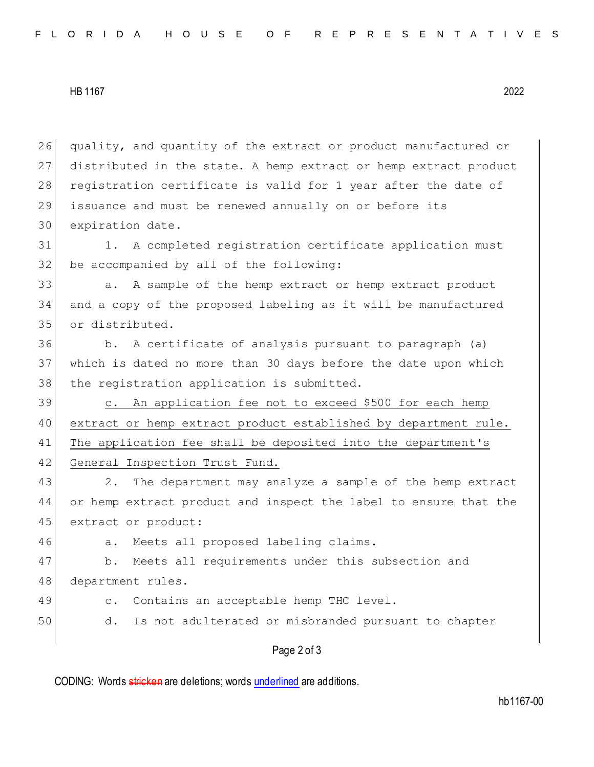## HB 1167 2022

Page 2 of 3 26 quality, and quantity of the extract or product manufactured or 27 distributed in the state. A hemp extract or hemp extract product 28 registration certificate is valid for 1 year after the date of 29 issuance and must be renewed annually on or before its 30 expiration date. 31 1. A completed registration certificate application must 32 be accompanied by all of the following: 33 a. A sample of the hemp extract or hemp extract product 34 and a copy of the proposed labeling as it will be manufactured 35 or distributed. 36 b. A certificate of analysis pursuant to paragraph (a) 37 which is dated no more than 30 days before the date upon which 38 the registration application is submitted. 39 c. An application fee not to exceed \$500 for each hemp 40 extract or hemp extract product established by department rule. 41 The application fee shall be deposited into the department's 42 General Inspection Trust Fund. 43 2. The department may analyze a sample of the hemp extract 44 or hemp extract product and inspect the label to ensure that the 45 extract or product: 46 a. Meets all proposed labeling claims. 47 b. Meets all requirements under this subsection and 48 department rules. 49 c. Contains an acceptable hemp THC level. 50 d. Is not adulterated or misbranded pursuant to chapter

CODING: Words stricken are deletions; words underlined are additions.